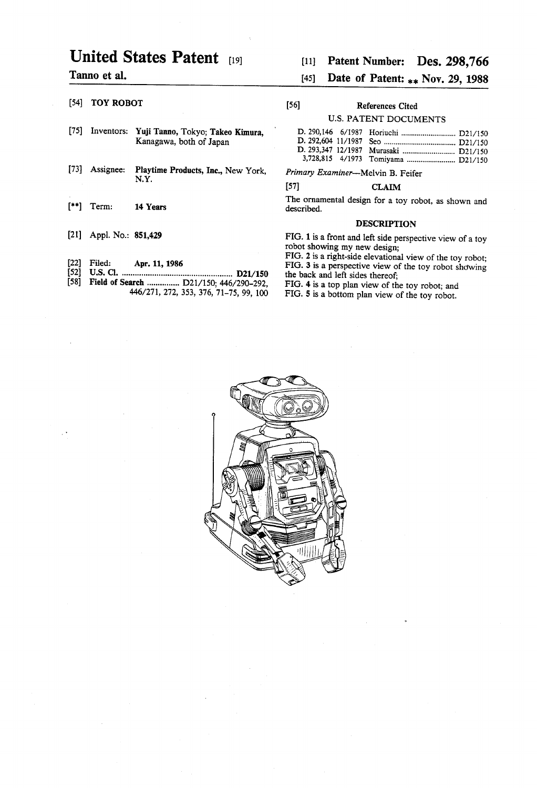# United States Patent [19] [11] Patent Number: Des. 298,766

- [75] Inventors: Yuji Tanno, Tokyo; Takeo Kimura, Kanagawa, both of Japan
- [73] Assignee: Playtime Products, Inc., New York, Primary Examiner---Melvin B. Feifer N.Y.
- 
- 
- 
- [52] US. Cl. ................................................. .. D21/150 the back and left sides thereof;
- [58] Field of Search ................ D21/150; 446/290-292,<br>446/271, 272, 353, 376, 71-75, 99, 100

## Tanno et al.  $[45]$  Date of Patent:  $\ast \ast$  Nov. 29, 1988

## [54] TOY ROBOT [56] References Cited

### U.S. PATENT DOCUMENTS

|  | D. 293,347 12/1987 Murasaki  D21/150 |
|--|--------------------------------------|
|  |                                      |

### $[57]$  CLAIM

[\*\*] Term: 14 Years The ornamental design for a toy robot, as shown and [\*\*] Term: 14 Years described.

## DESCRIPTION

[21] Appl. No.: 851,429 FIG. 1 is a front and left side perspective view of a toy robot showing my new design;

FIG. 2 is a right-side elevational view of the toy robot; [22] Filed: Apr. 11, 1986 FIG. 3 is a perspective view of the toy robot showing

FIG. 5 is a bottom plan view of the toy robot.

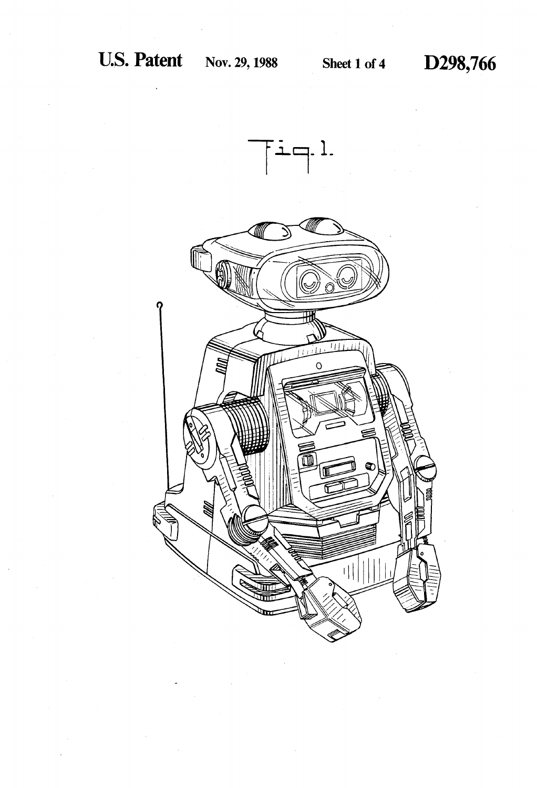

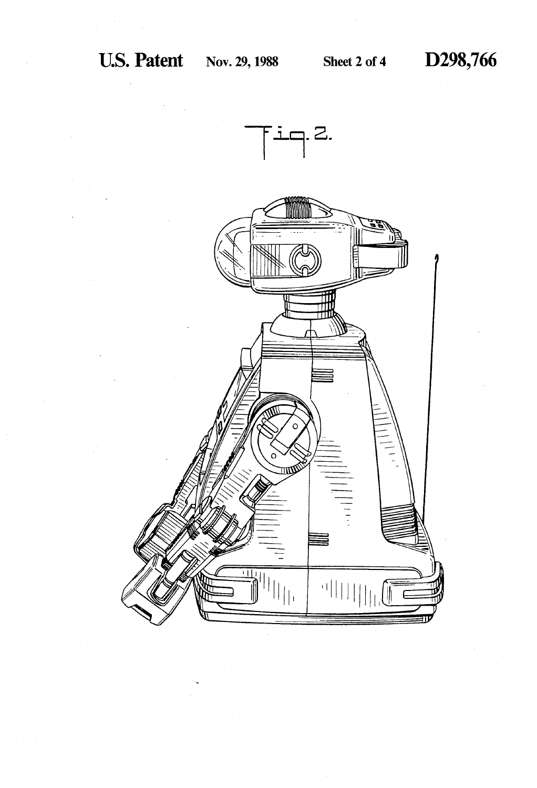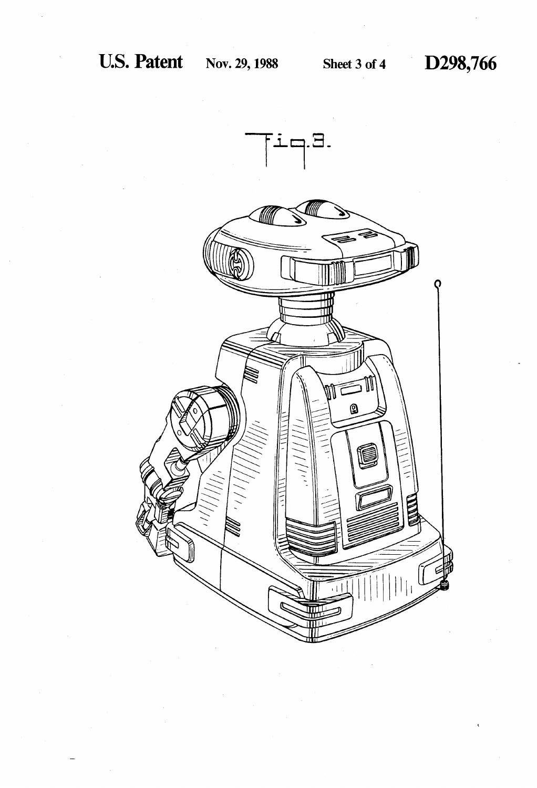

D298,766